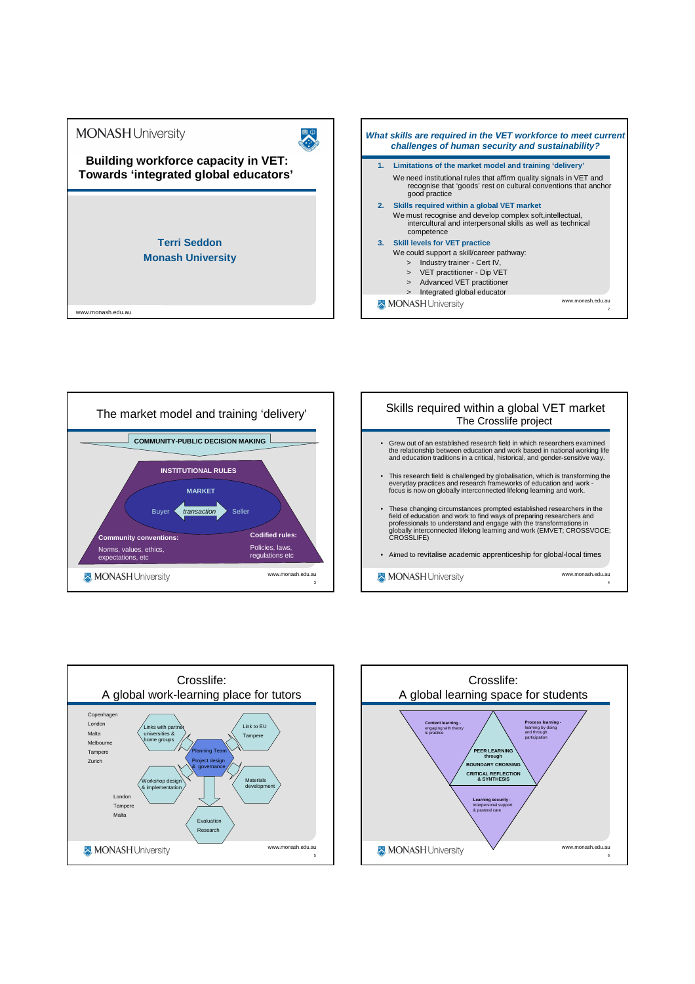